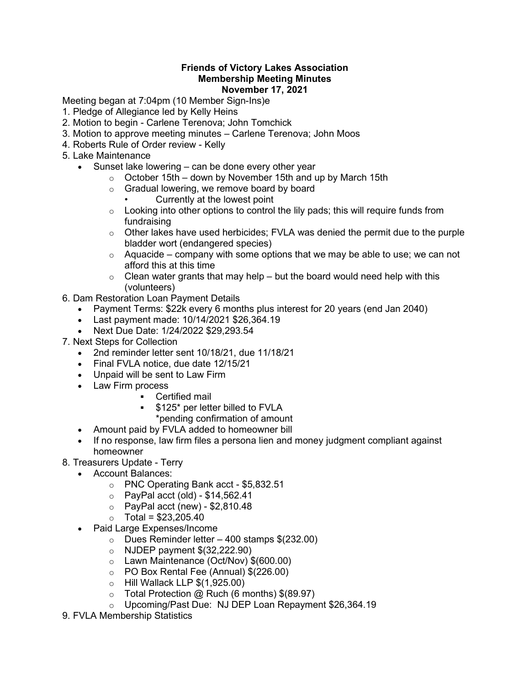## Friends of Victory Lakes Association Membership Meeting Minutes November 17, 2021

Meeting began at 7:04pm (10 Member Sign-Ins)e

- 1. Pledge of Allegiance led by Kelly Heins
- 2. Motion to begin Carlene Terenova; John Tomchick
- 3. Motion to approve meeting minutes Carlene Terenova; John Moos
- 4. Roberts Rule of Order review Kelly
- 5. Lake Maintenance
	- Sunset lake lowering can be done every other year
		- $\circ$  October 15th down by November 15th and up by March 15th
		- o Gradual lowering, we remove board by board
			- Currently at the lowest point
		- $\circ$  Looking into other options to control the lily pads; this will require funds from fundraising
		- $\circ$  Other lakes have used herbicides; FVLA was denied the permit due to the purple bladder wort (endangered species)
		- $\circ$  Aquacide company with some options that we may be able to use; we can not afford this at this time
		- $\circ$  Clean water grants that may help but the board would need help with this (volunteers)
- 6. Dam Restoration Loan Payment Details
	- Payment Terms: \$22k every 6 months plus interest for 20 years (end Jan 2040)
	- Last payment made: 10/14/2021 \$26,364.19
	- Next Due Date: 1/24/2022 \$29,293.54
- 7. Next Steps for Collection
	- 2nd reminder letter sent 10/18/21, due 11/18/21
	- Final FVLA notice, due date 12/15/21
	- Unpaid will be sent to Law Firm
	- Law Firm process
		- **-** Certified mail
			- \$125\* per letter billed to FVLA
				- \*pending confirmation of amount
	- Amount paid by FVLA added to homeowner bill
	- If no response, law firm files a persona lien and money judgment compliant against homeowner
- 8. Treasurers Update Terry
	- Account Balances:
		- o PNC Operating Bank acct \$5,832.51
		- $\circ$  PayPal acct (old) \$14,562.41
		- $\circ$  PayPal acct (new) \$2,810.48
		- $\circ$  Total = \$23,205.40
	- Paid Large Expenses/Income
		- $\circ$  Dues Reminder letter 400 stamps \$(232.00)
		- $\circ$  NJDEP payment  $$(32,222.90)$
		- o Lawn Maintenance (Oct/Nov) \$(600.00)
		- o PO Box Rental Fee (Annual) \$(226.00)
		- $\circ$  Hill Wallack LLP  $$(1,925.00)$
		- $\circ$  Total Protection @ Ruch (6 months) \$(89.97)
		- o Upcoming/Past Due: NJ DEP Loan Repayment \$26,364.19
- 9. FVLA Membership Statistics